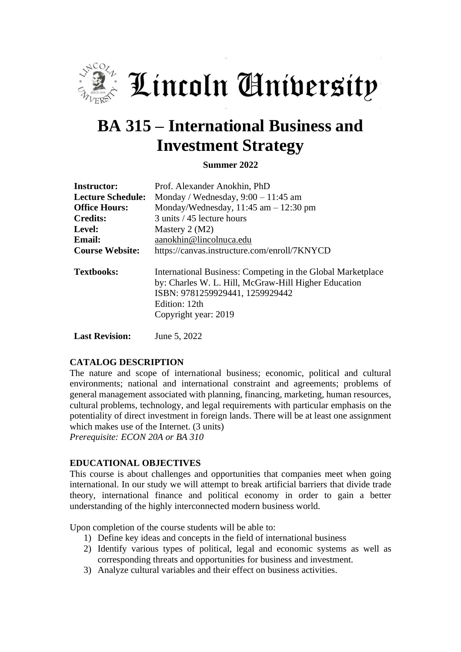

Lincoln Aniversity

# **BA 315 – International Business and Investment Strategy**

**Summer 2022**

| <b>Instructor:</b>       | Prof. Alexander Anokhin, PhD                                                                                                                                                                    |
|--------------------------|-------------------------------------------------------------------------------------------------------------------------------------------------------------------------------------------------|
| <b>Lecture Schedule:</b> | Monday / Wednesday, $9:00 - 11:45$ am                                                                                                                                                           |
| <b>Office Hours:</b>     | Monday/Wednesday, $11:45$ am $-12:30$ pm                                                                                                                                                        |
| <b>Credits:</b>          | 3 units / 45 lecture hours                                                                                                                                                                      |
| Level:                   | Mastery $2 (M2)$                                                                                                                                                                                |
| <b>Email:</b>            | aanokhin@lincolnuca.edu                                                                                                                                                                         |
| <b>Course Website:</b>   | https://canvas.instructure.com/enroll/7KNYCD                                                                                                                                                    |
| <b>Textbooks:</b>        | International Business: Competing in the Global Marketplace<br>by: Charles W. L. Hill, McGraw-Hill Higher Education<br>ISBN: 9781259929441, 1259929442<br>Edition: 12th<br>Copyright year: 2019 |

**Last Revision:** June 5, 2022

#### **CATALOG DESCRIPTION**

The nature and scope of international business; economic, political and cultural environments; national and international constraint and agreements; problems of general management associated with planning, financing, marketing, human resources, cultural problems, technology, and legal requirements with particular emphasis on the potentiality of direct investment in foreign lands. There will be at least one assignment which makes use of the Internet. (3 units) *Prerequisite: ECON 20A or BA 310*

#### **EDUCATIONAL OBJECTIVES**

This course is about challenges and opportunities that companies meet when going international. In our study we will attempt to break artificial barriers that divide trade theory, international finance and political economy in order to gain a better understanding of the highly interconnected modern business world.

Upon completion of the course students will be able to:

- 1) Define key ideas and concepts in the field of international business
- 2) Identify various types of political, legal and economic systems as well as corresponding threats and opportunities for business and investment.
- 3) Analyze cultural variables and their effect on business activities.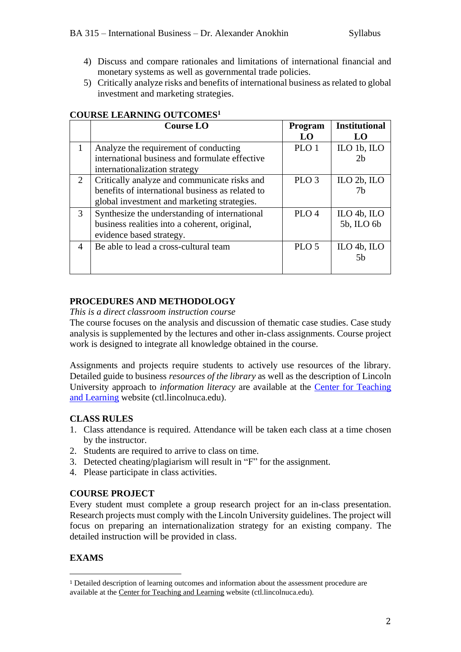- 4) Discuss and compare rationales and limitations of international financial and monetary systems as well as governmental trade policies.
- 5) Critically analyze risks and benefits of international business as related to global investment and marketing strategies.

|                | <b>Course LO</b>                                 | Program          | <b>Institutional</b> |
|----------------|--------------------------------------------------|------------------|----------------------|
|                |                                                  | LO               | LO                   |
| 1              | Analyze the requirement of conducting            | PLO 1            | ILO 1b, ILO          |
|                | international business and formulate effective   |                  | 2 <sub>b</sub>       |
|                | internationalization strategy                    |                  |                      |
| 2              | Critically analyze and communicate risks and     | PLO <sub>3</sub> | ILO $2b$ , ILO       |
|                | benefits of international business as related to |                  | 7h                   |
|                | global investment and marketing strategies.      |                  |                      |
| 3              | Synthesize the understanding of international    | PLO <sub>4</sub> | ILO $4b$ , ILO       |
|                | business realities into a coherent, original,    |                  | 5b, ILO 6b           |
|                | evidence based strategy.                         |                  |                      |
| $\overline{4}$ | Be able to lead a cross-cultural team            | PLO <sub>5</sub> | ILO $4b$ , ILO       |
|                |                                                  |                  | .5h                  |
|                |                                                  |                  |                      |

## **COURSE LEARNING OUTCOMES<sup>1</sup>**

#### **PROCEDURES AND METHODOLOGY**

*This is a direct classroom instruction course*

The course focuses on the analysis and discussion of thematic case studies. Case study analysis is supplemented by the lectures and other in-class assignments. Course project work is designed to integrate all knowledge obtained in the course.

Assignments and projects require students to actively use resources of the library. Detailed guide to business *resources of the library* as well as the description of Lincoln University approach to *information literacy* are available at the [Center for Teaching](http://ctl.lincolnuca.edu/kb-base/library-guide-business-resources/)  [and Learning](http://ctl.lincolnuca.edu/kb-base/library-guide-business-resources/) website (ctl.lincolnuca.edu).

### **CLASS RULES**

- 1. Class attendance is required. Attendance will be taken each class at a time chosen by the instructor.
- 2. Students are required to arrive to class on time.
- 3. Detected cheating/plagiarism will result in "F" for the assignment.
- 4. Please participate in class activities.

### **COURSE PROJECT**

Every student must complete a group research project for an in-class presentation. Research projects must comply with the Lincoln University guidelines. The project will focus on preparing an internationalization strategy for an existing company. The detailed instruction will be provided in class.

## **EXAMS**

<sup>1</sup> Detailed description of learning outcomes and information about the assessment procedure are available at the Center for [Teaching](http://ctl.lincolnuca.edu/) and Learning website (ctl.lincolnuca.edu).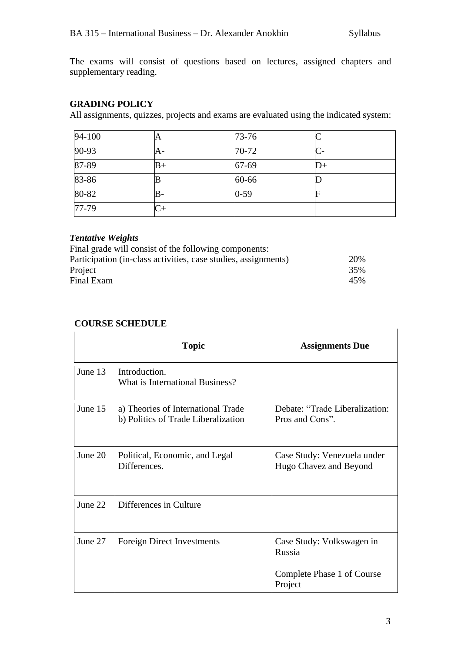The exams will consist of questions based on lectures, assigned chapters and supplementary reading.

## **GRADING POLICY**

All assignments, quizzes, projects and exams are evaluated using the indicated system:

| 94-100    | A    | $73 - 76$ |                |
|-----------|------|-----------|----------------|
| $90 - 93$ | A-   | 70-72     |                |
| $87 - 89$ | $B+$ | 67-69     | $\mathbb{D}^+$ |
| 83-86     |      | 60-66     |                |
| 80-82     |      | $0 - 59$  |                |
| $77-79$   |      |           |                |

## *Tentative Weights*

| 20% |
|-----|
| 35% |
| 45% |
|     |

# **COURSE SCHEDULE**

|         | <b>Topic</b>                                                              | <b>Assignments Due</b>                                |
|---------|---------------------------------------------------------------------------|-------------------------------------------------------|
| June 13 | Introduction.<br>What is International Business?                          |                                                       |
| June 15 | a) Theories of International Trade<br>b) Politics of Trade Liberalization | Debate: "Trade Liberalization:<br>Pros and Cons".     |
| June 20 | Political, Economic, and Legal<br>Differences.                            | Case Study: Venezuela under<br>Hugo Chavez and Beyond |
| June 22 | Differences in Culture                                                    |                                                       |
| June 27 | <b>Foreign Direct Investments</b>                                         | Case Study: Volkswagen in<br>Russia                   |
|         |                                                                           | Complete Phase 1 of Course<br>Project                 |